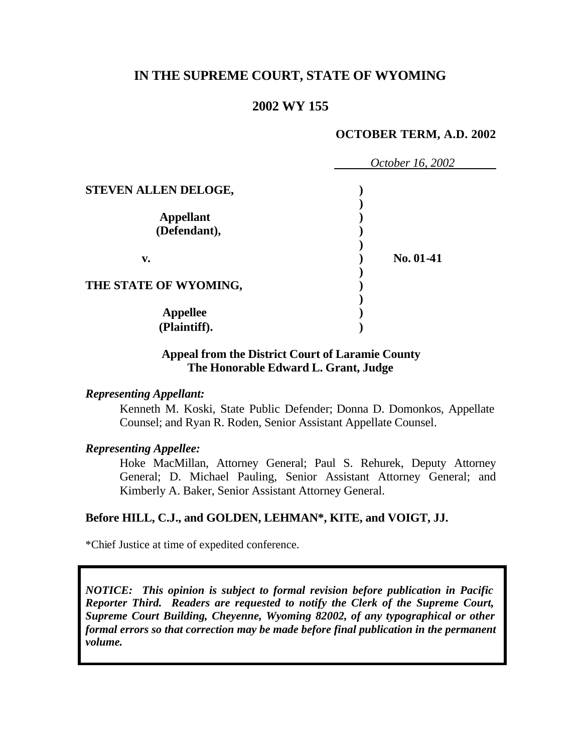# **IN THE SUPREME COURT, STATE OF WYOMING**

# **2002 WY 155**

### **OCTOBER TERM, A.D. 2002**

|                       | October 16, 2002 |
|-----------------------|------------------|
| STEVEN ALLEN DELOGE,  |                  |
| <b>Appellant</b>      |                  |
| (Defendant),          |                  |
| v.                    | No. 01-41        |
| THE STATE OF WYOMING, |                  |
| <b>Appellee</b>       |                  |
| (Plaintiff).          |                  |

### **Appeal from the District Court of Laramie County The Honorable Edward L. Grant, Judge**

#### *Representing Appellant:*

Kenneth M. Koski, State Public Defender; Donna D. Domonkos, Appellate Counsel; and Ryan R. Roden, Senior Assistant Appellate Counsel.

### *Representing Appellee:*

Hoke MacMillan, Attorney General; Paul S. Rehurek, Deputy Attorney General; D. Michael Pauling, Senior Assistant Attorney General; and Kimberly A. Baker, Senior Assistant Attorney General.

### **Before HILL, C.J., and GOLDEN, LEHMAN\*, KITE, and VOIGT, JJ.**

\*Chief Justice at time of expedited conference.

*NOTICE: This opinion is subject to formal revision before publication in Pacific Reporter Third. Readers are requested to notify the Clerk of the Supreme Court, Supreme Court Building, Cheyenne, Wyoming 82002, of any typographical or other formal errors so that correction may be made before final publication in the permanent volume.*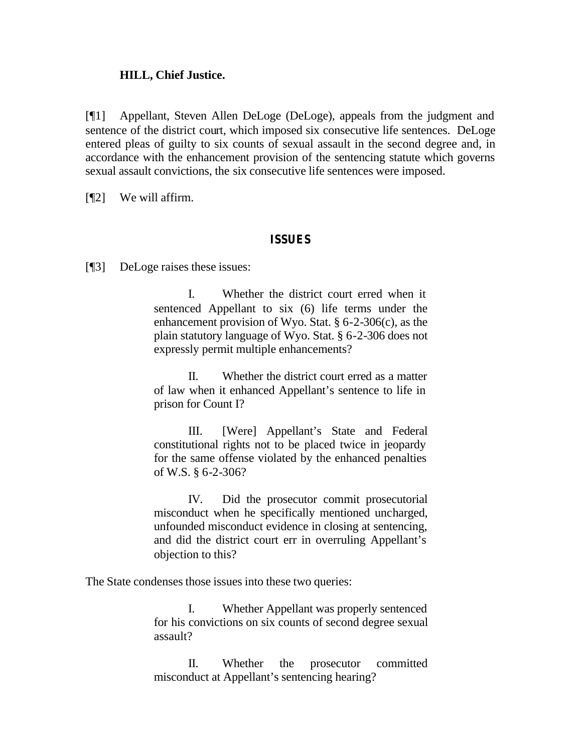### **HILL, Chief Justice.**

[¶1] Appellant, Steven Allen DeLoge (DeLoge), appeals from the judgment and sentence of the district court, which imposed six consecutive life sentences. DeLoge entered pleas of guilty to six counts of sexual assault in the second degree and, in accordance with the enhancement provision of the sentencing statute which governs sexual assault convictions, the six consecutive life sentences were imposed.

[¶2] We will affirm.

### **ISSUES**

[¶3] DeLoge raises these issues:

I. Whether the district court erred when it sentenced Appellant to six (6) life terms under the enhancement provision of Wyo. Stat. § 6-2-306(c), as the plain statutory language of Wyo. Stat. § 6-2-306 does not expressly permit multiple enhancements?

II. Whether the district court erred as a matter of law when it enhanced Appellant's sentence to life in prison for Count I?

III. [Were] Appellant's State and Federal constitutional rights not to be placed twice in jeopardy for the same offense violated by the enhanced penalties of W.S. § 6-2-306?

IV. Did the prosecutor commit prosecutorial misconduct when he specifically mentioned uncharged, unfounded misconduct evidence in closing at sentencing, and did the district court err in overruling Appellant's objection to this?

The State condenses those issues into these two queries:

I. Whether Appellant was properly sentenced for his convictions on six counts of second degree sexual assault?

II. Whether the prosecutor committed misconduct at Appellant's sentencing hearing?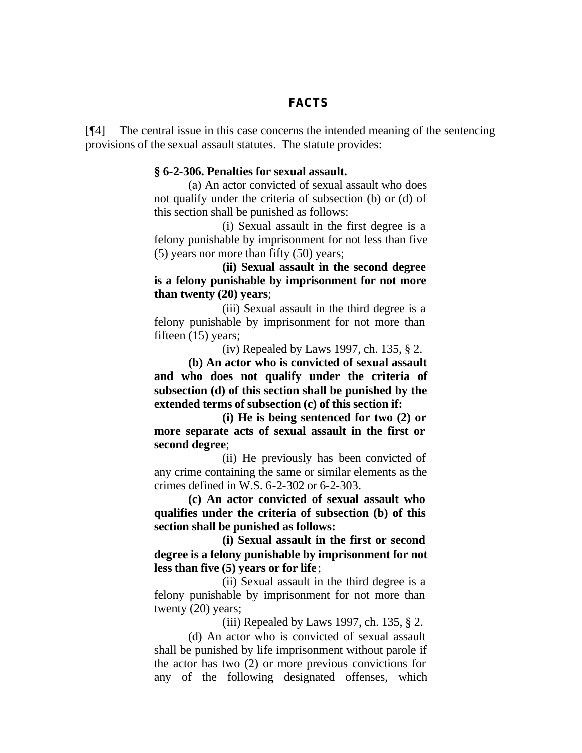### **FACTS**

[¶4] The central issue in this case concerns the intended meaning of the sentencing provisions of the sexual assault statutes. The statute provides:

#### **§ 6-2-306. Penalties for sexual assault.**

(a) An actor convicted of sexual assault who does not qualify under the criteria of subsection (b) or (d) of this section shall be punished as follows:

(i) Sexual assault in the first degree is a felony punishable by imprisonment for not less than five (5) years nor more than fifty (50) years;

**(ii) Sexual assault in the second degree is a felony punishable by imprisonment for not more than twenty (20) years**;

(iii) Sexual assault in the third degree is a felony punishable by imprisonment for not more than fifteen (15) years;

(iv) Repealed by Laws 1997, ch. 135, § 2.

**(b) An actor who is convicted of sexual assault and who does not qualify under the criteria of subsection (d) of this section shall be punished by the extended terms of subsection (c) of this section if:**

**(i) He is being sentenced for two (2) or more separate acts of sexual assault in the first or second degree**;

(ii) He previously has been convicted of any crime containing the same or similar elements as the crimes defined in W.S. 6-2-302 or 6-2-303.

**(c) An actor convicted of sexual assault who qualifies under the criteria of subsection (b) of this section shall be punished as follows:**

**(i) Sexual assault in the first or second degree is a felony punishable by imprisonment for not less than five (5) years or for life** ;

(ii) Sexual assault in the third degree is a felony punishable by imprisonment for not more than twenty (20) years;

(iii) Repealed by Laws 1997, ch. 135, § 2.

(d) An actor who is convicted of sexual assault shall be punished by life imprisonment without parole if the actor has two (2) or more previous convictions for any of the following designated offenses, which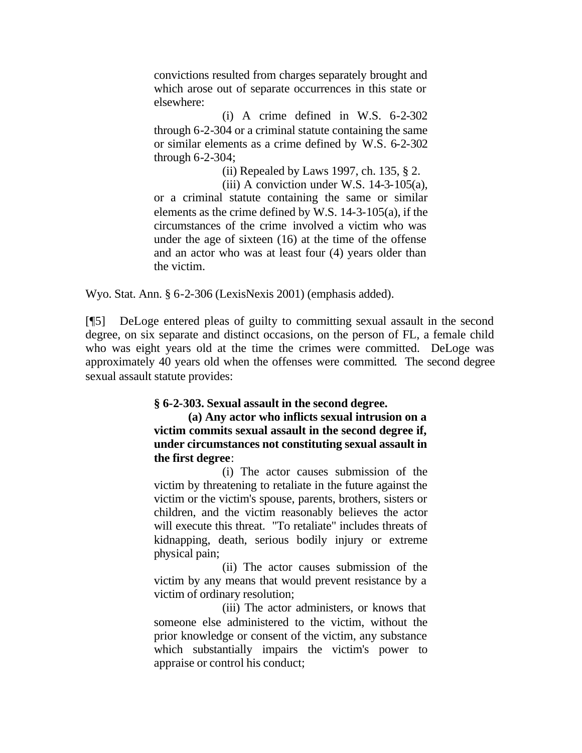convictions resulted from charges separately brought and which arose out of separate occurrences in this state or elsewhere:

(i) A crime defined in W.S. 6-2-302 through 6-2-304 or a criminal statute containing the same or similar elements as a crime defined by W.S. 6-2-302 through 6-2-304;

(ii) Repealed by Laws 1997, ch. 135, § 2.

(iii) A conviction under W.S.  $14-3-105(a)$ , or a criminal statute containing the same or similar elements as the crime defined by W.S. 14-3-105(a), if the circumstances of the crime involved a victim who was under the age of sixteen (16) at the time of the offense and an actor who was at least four (4) years older than the victim.

Wyo. Stat. Ann. § 6-2-306 (LexisNexis 2001) (emphasis added).

[¶5] DeLoge entered pleas of guilty to committing sexual assault in the second degree, on six separate and distinct occasions, on the person of FL, a female child who was eight years old at the time the crimes were committed. DeLoge was approximately 40 years old when the offenses were committed. The second degree sexual assault statute provides:

### **§ 6-2-303. Sexual assault in the second degree.**

**(a) Any actor who inflicts sexual intrusion on a victim commits sexual assault in the second degree if, under circumstances not constituting sexual assault in the first degree**:

(i) The actor causes submission of the victim by threatening to retaliate in the future against the victim or the victim's spouse, parents, brothers, sisters or children, and the victim reasonably believes the actor will execute this threat. "To retaliate" includes threats of kidnapping, death, serious bodily injury or extreme physical pain;

(ii) The actor causes submission of the victim by any means that would prevent resistance by a victim of ordinary resolution;

(iii) The actor administers, or knows that someone else administered to the victim, without the prior knowledge or consent of the victim, any substance which substantially impairs the victim's power to appraise or control his conduct;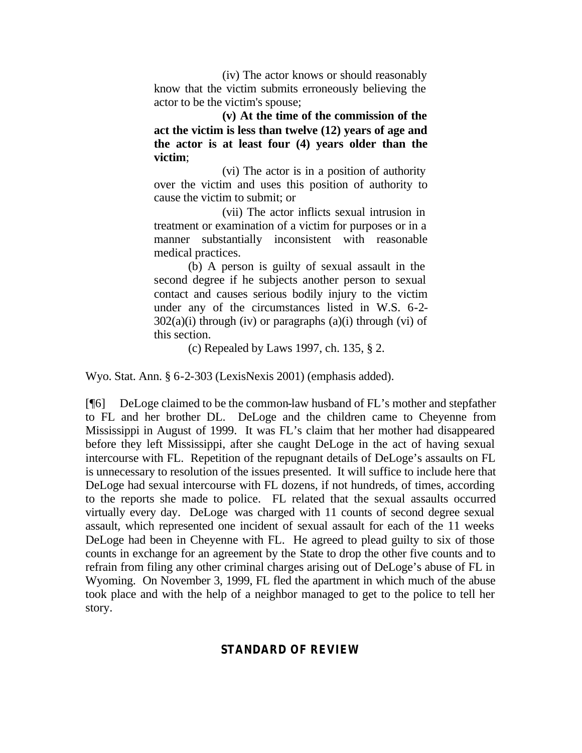(iv) The actor knows or should reasonably know that the victim submits erroneously believing the actor to be the victim's spouse;

**(v) At the time of the commission of the act the victim is less than twelve (12) years of age and the actor is at least four (4) years older than the victim**;

(vi) The actor is in a position of authority over the victim and uses this position of authority to cause the victim to submit; or

(vii) The actor inflicts sexual intrusion in treatment or examination of a victim for purposes or in a manner substantially inconsistent with reasonable medical practices.

(b) A person is guilty of sexual assault in the second degree if he subjects another person to sexual contact and causes serious bodily injury to the victim under any of the circumstances listed in W.S. 6-2-  $302(a)(i)$  through (iv) or paragraphs  $(a)(i)$  through (vi) of this section.

(c) Repealed by Laws 1997, ch. 135, § 2.

Wyo. Stat. Ann. § 6-2-303 (LexisNexis 2001) (emphasis added).

[¶6] DeLoge claimed to be the common-law husband of FL's mother and stepfather to FL and her brother DL. DeLoge and the children came to Cheyenne from Mississippi in August of 1999. It was FL's claim that her mother had disappeared before they left Mississippi, after she caught DeLoge in the act of having sexual intercourse with FL. Repetition of the repugnant details of DeLoge's assaults on FL is unnecessary to resolution of the issues presented. It will suffice to include here that DeLoge had sexual intercourse with FL dozens, if not hundreds, of times, according to the reports she made to police. FL related that the sexual assaults occurred virtually every day. DeLoge was charged with 11 counts of second degree sexual assault, which represented one incident of sexual assault for each of the 11 weeks DeLoge had been in Cheyenne with FL. He agreed to plead guilty to six of those counts in exchange for an agreement by the State to drop the other five counts and to refrain from filing any other criminal charges arising out of DeLoge's abuse of FL in Wyoming. On November 3, 1999, FL fled the apartment in which much of the abuse took place and with the help of a neighbor managed to get to the police to tell her story.

# **STANDARD OF REVIEW**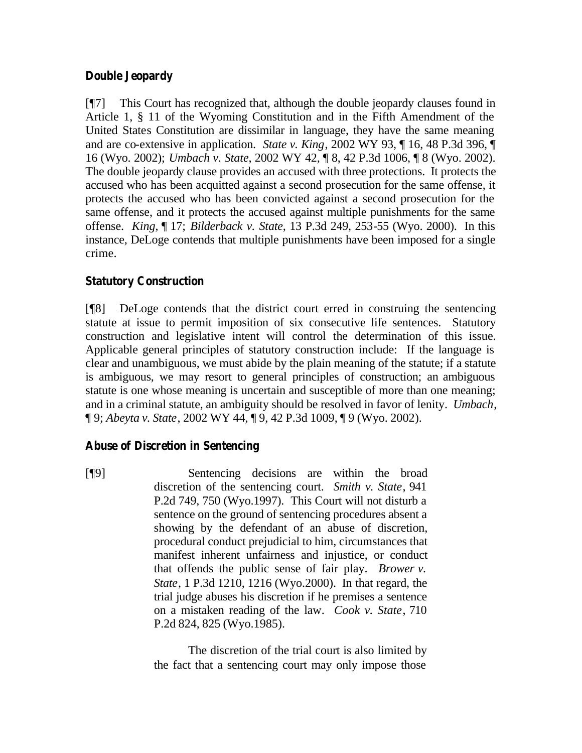# **Double Jeopardy**

[¶7] This Court has recognized that, although the double jeopardy clauses found in Article 1, § 11 of the Wyoming Constitution and in the Fifth Amendment of the United States Constitution are dissimilar in language, they have the same meaning and are co-extensive in application. *State v. King*, 2002 WY 93, ¶ 16, 48 P.3d 396, ¶ 16 (Wyo. 2002); *Umbach v. State*, 2002 WY 42, ¶ 8, 42 P.3d 1006, ¶ 8 (Wyo. 2002). The double jeopardy clause provides an accused with three protections. It protects the accused who has been acquitted against a second prosecution for the same offense, it protects the accused who has been convicted against a second prosecution for the same offense, and it protects the accused against multiple punishments for the same offense. *King*, ¶ 17; *Bilderback v. State*, 13 P.3d 249, 253-55 (Wyo. 2000). In this instance, DeLoge contends that multiple punishments have been imposed for a single crime.

# **Statutory Construction**

[¶8] DeLoge contends that the district court erred in construing the sentencing statute at issue to permit imposition of six consecutive life sentences. Statutory construction and legislative intent will control the determination of this issue. Applicable general principles of statutory construction include: If the language is clear and unambiguous, we must abide by the plain meaning of the statute; if a statute is ambiguous, we may resort to general principles of construction; an ambiguous statute is one whose meaning is uncertain and susceptible of more than one meaning; and in a criminal statute, an ambiguity should be resolved in favor of lenity. *Umbach*, ¶ 9; *Abeyta v. State*, 2002 WY 44, ¶ 9, 42 P.3d 1009, ¶ 9 (Wyo. 2002).

# **Abuse of Discretion in Sentencing**

[¶9] Sentencing decisions are within the broad discretion of the sentencing court. *Smith v. State*, 941 P.2d 749, 750 (Wyo.1997). This Court will not disturb a sentence on the ground of sentencing procedures absent a showing by the defendant of an abuse of discretion, procedural conduct prejudicial to him, circumstances that manifest inherent unfairness and injustice, or conduct that offends the public sense of fair play. *Brower v. State*, 1 P.3d 1210, 1216 (Wyo.2000). In that regard, the trial judge abuses his discretion if he premises a sentence on a mistaken reading of the law. *Cook v. State*, 710 P.2d 824, 825 (Wyo.1985).

> The discretion of the trial court is also limited by the fact that a sentencing court may only impose those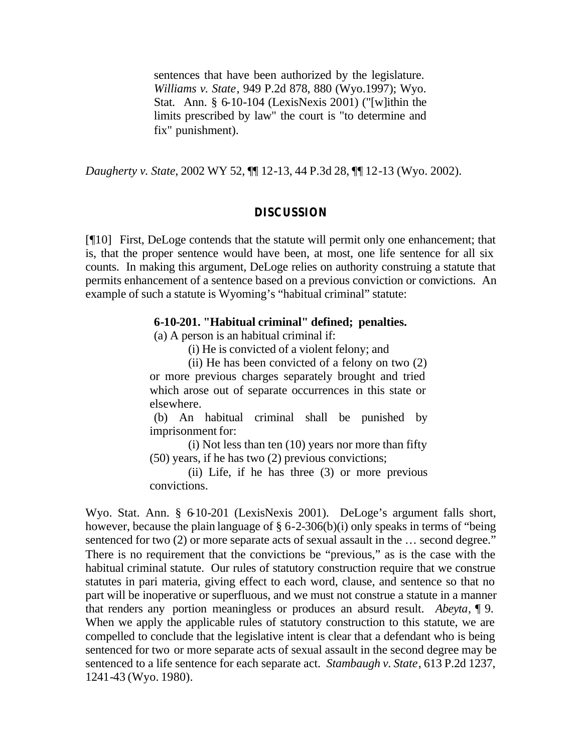sentences that have been authorized by the legislature. *Williams v. State*, 949 P.2d 878, 880 (Wyo.1997); Wyo. Stat. Ann. § 6-10-104 (LexisNexis 2001) ("[w]ithin the limits prescribed by law" the court is "to determine and fix" punishment).

*Daugherty v. State*, 2002 WY 52, ¶¶ 12-13, 44 P.3d 28, ¶¶ 12-13 (Wyo. 2002).

#### **DISCUSSION**

[¶10] First, DeLoge contends that the statute will permit only one enhancement; that is, that the proper sentence would have been, at most, one life sentence for all six counts. In making this argument, DeLoge relies on authority construing a statute that permits enhancement of a sentence based on a previous conviction or convictions. An example of such a statute is Wyoming's "habitual criminal" statute:

#### **6-10-201. "Habitual criminal" defined; penalties.**

(a) A person is an habitual criminal if:

(i) He is convicted of a violent felony; and

(ii) He has been convicted of a felony on two (2) or more previous charges separately brought and tried which arose out of separate occurrences in this state or elsewhere.

(b) An habitual criminal shall be punished by imprisonment for:

(i) Not less than ten (10) years nor more than fifty (50) years, if he has two (2) previous convictions;

(ii) Life, if he has three (3) or more previous convictions.

Wyo. Stat. Ann. § 6-10-201 (LexisNexis 2001). DeLoge's argument falls short, however, because the plain language of § 6-2-306(b)(i) only speaks in terms of "being sentenced for two (2) or more separate acts of sexual assault in the ... second degree." There is no requirement that the convictions be "previous," as is the case with the habitual criminal statute. Our rules of statutory construction require that we construe statutes in pari materia, giving effect to each word, clause, and sentence so that no part will be inoperative or superfluous, and we must not construe a statute in a manner that renders any portion meaningless or produces an absurd result. *Abeyta*, ¶ 9. When we apply the applicable rules of statutory construction to this statute, we are compelled to conclude that the legislative intent is clear that a defendant who is being sentenced for two or more separate acts of sexual assault in the second degree may be sentenced to a life sentence for each separate act. *Stambaugh v. State*, 613 P.2d 1237, 1241-43 (Wyo. 1980).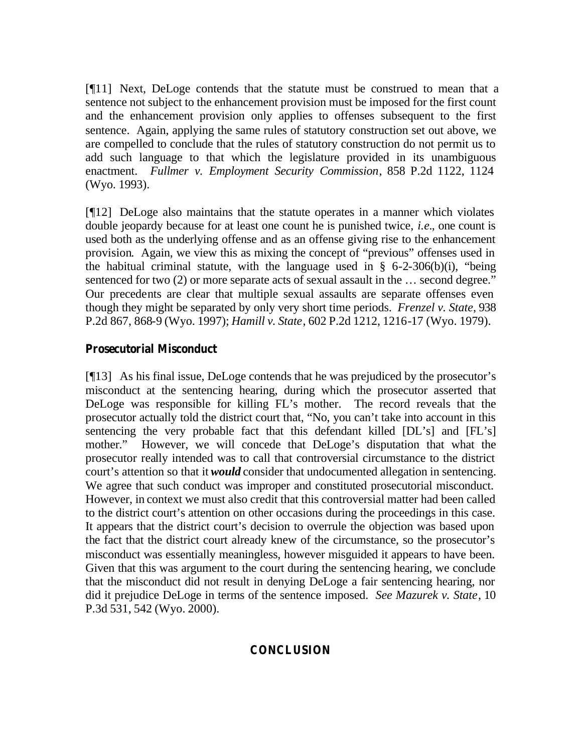[¶11] Next, DeLoge contends that the statute must be construed to mean that a sentence not subject to the enhancement provision must be imposed for the first count and the enhancement provision only applies to offenses subsequent to the first sentence. Again, applying the same rules of statutory construction set out above, we are compelled to conclude that the rules of statutory construction do not permit us to add such language to that which the legislature provided in its unambiguous enactment. *Fullmer v. Employment Security Commission*, 858 P.2d 1122, 1124 (Wyo. 1993).

[¶12] DeLoge also maintains that the statute operates in a manner which violates double jeopardy because for at least one count he is punished twice, *i.e.*, one count is used both as the underlying offense and as an offense giving rise to the enhancement provision. Again, we view this as mixing the concept of "previous" offenses used in the habitual criminal statute, with the language used in  $\S$  6-2-306(b)(i), "being sentenced for two (2) or more separate acts of sexual assault in the ... second degree." Our precedents are clear that multiple sexual assaults are separate offenses even though they might be separated by only very short time periods. *Frenzel v. State*, 938 P.2d 867, 868-9 (Wyo. 1997); *Hamill v. State*, 602 P.2d 1212, 1216-17 (Wyo. 1979).

## **Prosecutorial Misconduct**

[¶13] As his final issue, DeLoge contends that he was prejudiced by the prosecutor's misconduct at the sentencing hearing, during which the prosecutor asserted that DeLoge was responsible for killing FL's mother. The record reveals that the prosecutor actually told the district court that, "No, you can't take into account in this sentencing the very probable fact that this defendant killed [DL's] and [FL's] mother." However, we will concede that DeLoge's disputation that what the prosecutor really intended was to call that controversial circumstance to the district court's attention so that it *would* consider that undocumented allegation in sentencing. We agree that such conduct was improper and constituted prosecutorial misconduct. However, in context we must also credit that this controversial matter had been called to the district court's attention on other occasions during the proceedings in this case. It appears that the district court's decision to overrule the objection was based upon the fact that the district court already knew of the circumstance, so the prosecutor's misconduct was essentially meaningless, however misguided it appears to have been. Given that this was argument to the court during the sentencing hearing, we conclude that the misconduct did not result in denying DeLoge a fair sentencing hearing, nor did it prejudice DeLoge in terms of the sentence imposed. *See Mazurek v. State*, 10 P.3d 531, 542 (Wyo. 2000).

# **CONCLUSION**